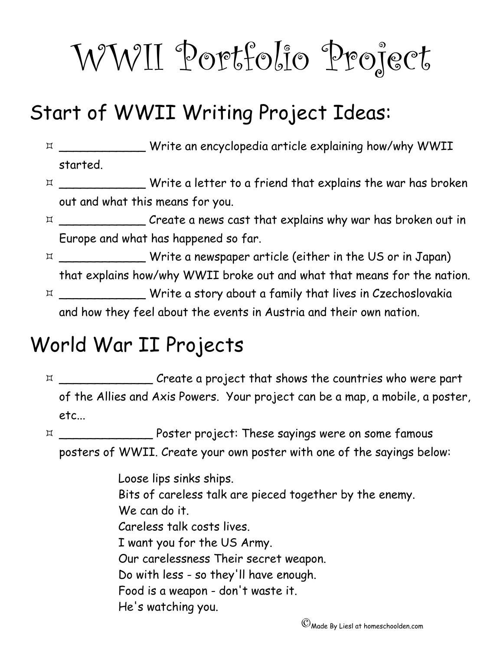# WWII Portfolio Project

#### Start of WWII Writing Project Ideas:

 $\hbox{$\tt m$}$  \_\_\_\_\_\_\_\_\_\_\_\_\_\_\_ Write an encyclopedia article explaining how/why WWII started.

- $\hbox{$\times$}$  \_\_\_\_\_\_\_\_\_\_\_\_\_\_\_ Write a letter to a friend that explains the war has broken out and what this means for you.
- $\hbox{M}$  \_\_\_\_\_\_\_\_\_\_\_\_\_\_ Create a news cast that explains why war has broken out in Europe and what has happened so far.
- \_\_\_\_\_\_\_\_\_\_\_\_ Write a newspaper article (either in the US or in Japan) that explains how/why WWII broke out and what that means for the nation. \_\_\_\_\_\_\_\_\_\_\_\_ Write a story about a family that lives in Czechoslovakia and how they feel about the events in Austria and their own nation.

#### World War II Projects

 \_\_\_\_\_\_\_\_\_\_\_\_\_ Create a project that shows the countries who were part of the Allies and Axis Powers. Your project can be a map, a mobile, a poster, etc...

 \_\_\_\_\_\_\_\_\_\_\_\_\_ Poster project: These sayings were on some famous posters of WWII. Create your own poster with one of the sayings below:

> Loose lips sinks ships. Bits of careless talk are pieced together by the enemy. We can do it. Careless talk costs lives. I want you for the US Army. Our carelessness Their secret weapon. Do with less - so they'll have enough. Food is a weapon - don't waste it. He's watching you.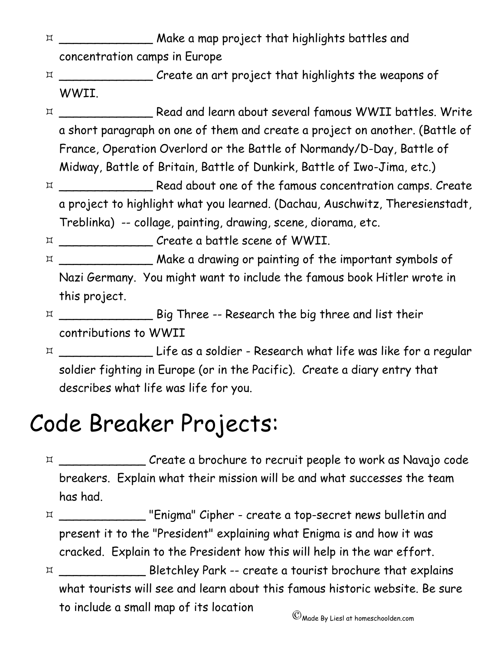- \_\_\_\_\_\_\_\_\_\_\_\_\_ Make a map project that highlights battles and concentration camps in Europe
- \_\_\_\_\_\_\_\_\_\_\_\_\_ Create an art project that highlights the weapons of WWII.
- \_\_\_\_\_\_\_\_\_\_\_\_\_ Read and learn about several famous WWII battles. Write a short paragraph on one of them and create a project on another. (Battle of France, Operation Overlord or the Battle of Normandy/D-Day, Battle of Midway, Battle of Britain, Battle of Dunkirk, Battle of Iwo-Jima, etc.)
- \_\_\_\_\_\_\_\_\_\_\_\_\_ Read about one of the famous concentration camps. Create a project to highlight what you learned. (Dachau, Auschwitz, Theresienstadt, Treblinka) -- collage, painting, drawing, scene, diorama, etc.

 $\hbox{$\times$}$  \_\_\_\_\_\_\_\_\_\_\_\_\_\_\_\_ Create a battle scene of WWII.

- $\hbox{$\tt m$}$  \_\_\_\_\_\_\_\_\_\_\_\_\_\_\_\_\_ Make a drawing or painting of the important symbols of Nazi Germany. You might want to include the famous book Hitler wrote in this project.
- \_\_\_\_\_\_\_\_\_\_\_\_\_ Big Three -- Research the big three and list their contributions to WWII
- \_\_\_\_\_\_\_\_\_\_\_\_\_ Life as a soldier Research what life was like for a regular soldier fighting in Europe (or in the Pacific). Create a diary entry that describes what life was life for you.

## Code Breaker Projects:

- \_\_\_\_\_\_\_\_\_\_\_\_ Create a brochure to recruit people to work as Navajo code breakers. Explain what their mission will be and what successes the team has had.
- \_\_\_\_\_\_\_\_\_\_\_\_ "Enigma" Cipher create a top-secret news bulletin and present it to the "President" explaining what Enigma is and how it was cracked. Explain to the President how this will help in the war effort.
- \_\_\_\_\_\_\_\_\_\_\_\_ Bletchley Park -- create a tourist brochure that explains what tourists will see and learn about this famous historic website. Be sure to include a small map of its location ©Made By Liesl at homeschoolden.com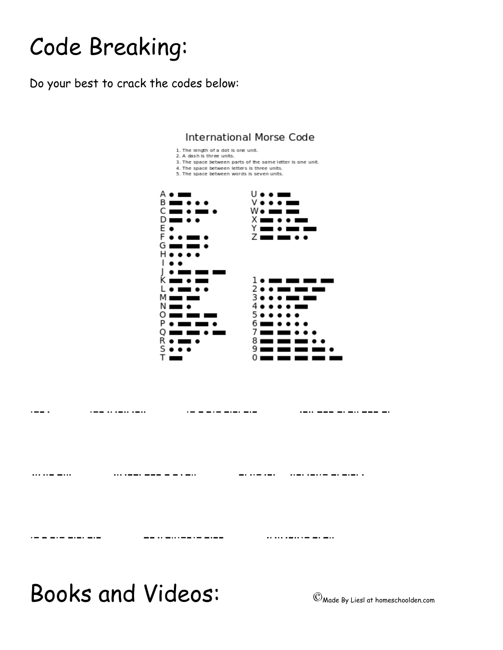## Code Breaking:

Do your best to crack the codes below:



Books and Videos: ©Made By Liesl at homeschoolden.com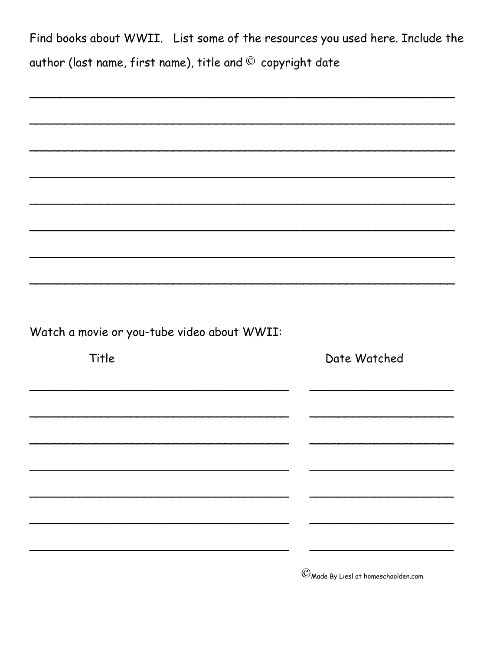Find books about WWII. List some of the resources you used here. Include the author (last name, first name), title and © copyright date

|  | Watch a movie or you-tube video about WWII: |  |  |
|--|---------------------------------------------|--|--|

| Title | Date Watched |
|-------|--------------|
|       |              |
|       |              |
|       |              |
|       |              |
|       |              |
|       |              |
|       |              |

 $\mathbb{C}$  Made By Liesl at homeschoolden.com